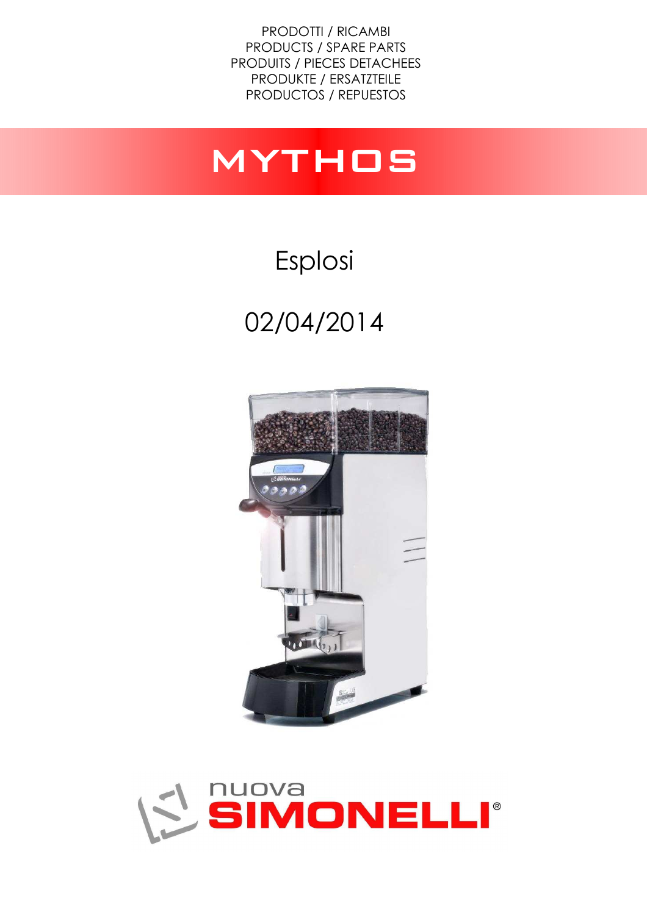PRODOTTI / RICAMBI PRODUCTS / SPARE PARTS PRODUITS / PIECES DETACHEES PRODUKTE / ERSATZTEILE PRODUCTOS / REPUESTOS

## mythos

## Esplosi 02/04/2014



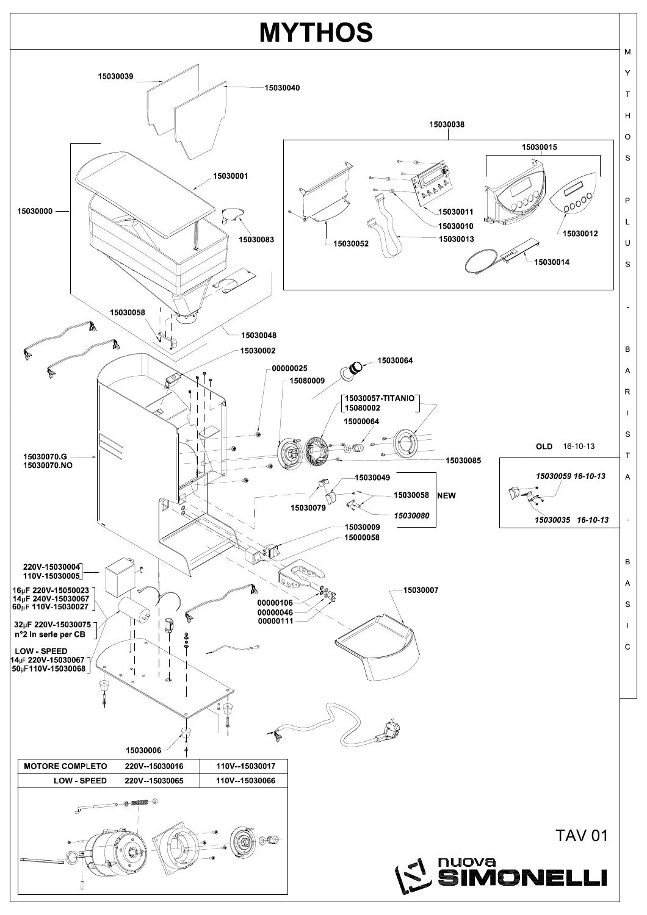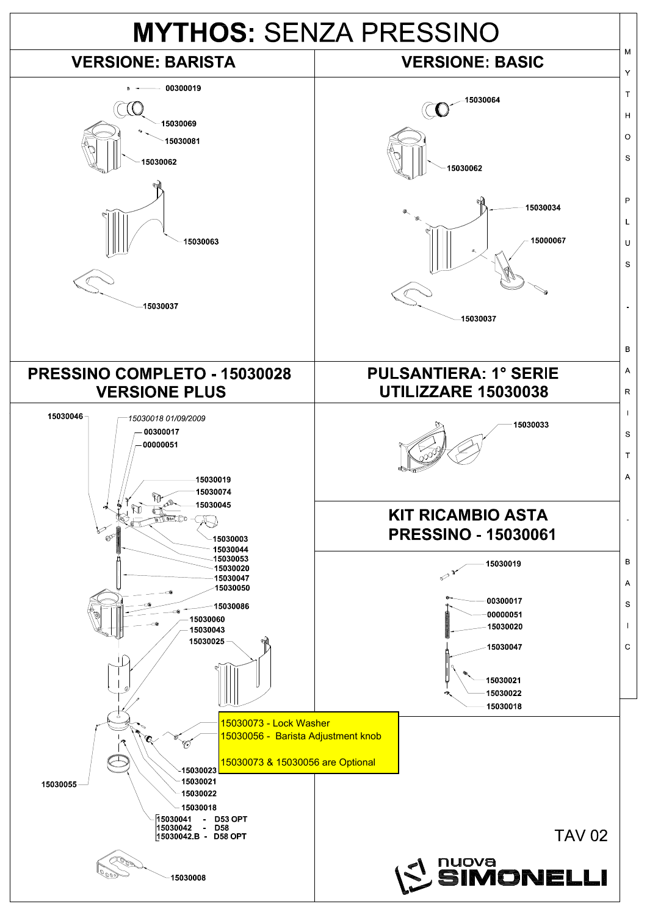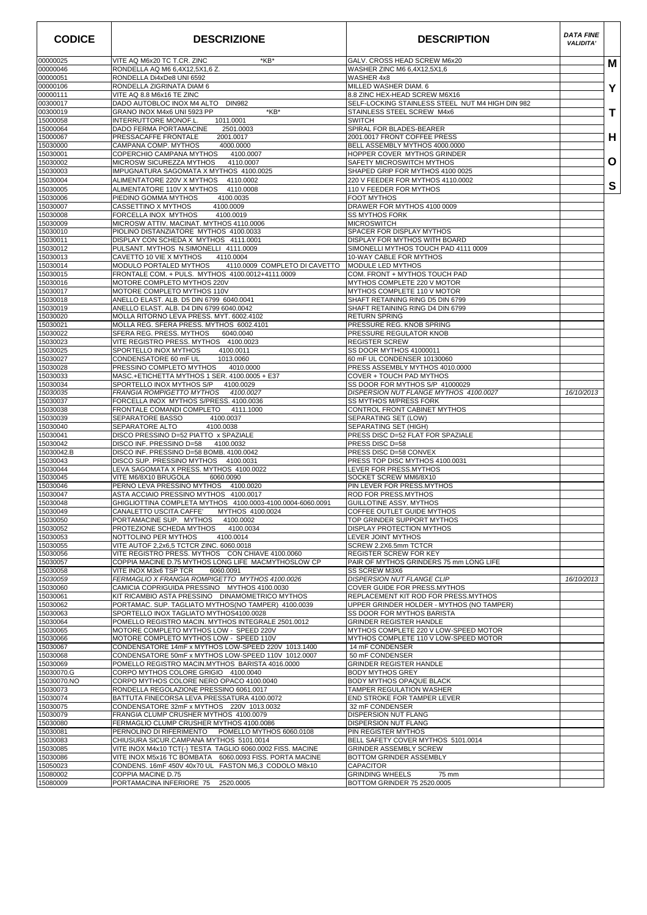| <b>CODICE</b>          | <b>DESCRIZIONE</b>                                                                                                | <b>DESCRIPTION</b>                                                             | <b>DATA FINE</b><br><b>VALIDITA'</b> |   |
|------------------------|-------------------------------------------------------------------------------------------------------------------|--------------------------------------------------------------------------------|--------------------------------------|---|
| 00000025               | VITE AQ M6x20 TC T.CR. ZINC<br>*KB*                                                                               | GALV, CROSS HEAD SCREW M6x20                                                   |                                      | м |
| 00000046<br>00000051   | RONDELLA AQ M6 6,4X12,5X1,6 Z.<br>RONDELLA Di4xDe8 UNI 6592                                                       | WASHER ZINC M6 6,4X12,5X1,6<br>WASHER 4x8                                      |                                      |   |
| 00000106               | RONDELLA ZIGRINATA DIAM 6                                                                                         | MILLED WASHER DIAM. 6                                                          |                                      | Y |
| 00000111               | VITE AQ 8.8 M6x16 TE ZINC                                                                                         | 8.8 ZINC HEX-HEAD SCREW M6X16                                                  |                                      |   |
| 00300017<br>00300019   | DADO AUTOBLOC INOX M4 ALTO DIN982<br>*KB*<br>GRANO INOX M4x6 UNI 5923 PP                                          | SELF-LOCKING STAINLESS STEEL NUT M4 HIGH DIN 982<br>STAINLESS STEEL SCREW M4x6 |                                      | т |
| 15000058               | INTERRUTTORE MONOF.L<br>1011.0001                                                                                 | <b>SWITCH</b>                                                                  |                                      |   |
| 15000064               | DADO FERMA PORTAMACINE<br>2501.0003                                                                               | SPIRAL FOR BLADES-BEARER                                                       |                                      |   |
| 15000067<br>15030000   | PRESSACAFFE FRONTALE<br>2001.0017<br>CAMPANA COMP. MYTHOS<br>4000.0000                                            | 2001.0017 FRONT COFFEE PRESS<br>BELL ASSEMBLY MYTHOS 4000.0000                 |                                      | н |
| 15030001               | COPERCHIO CAMPANA MYTHOS<br>4100.0007                                                                             | HOPPER COVER MYTHOS GRINDER                                                    |                                      |   |
| 15030002               | MICROSW SICUREZZA MYTHOS<br>4110.0007                                                                             | SAFETY MICROSWITCH MYTHOS                                                      |                                      | O |
| 15030003<br>15030004   | IMPUGNATURA SAGOMATA X MYTHOS 4100.0025<br>ALIMENTATORE 220V X MYTHOS<br>4110.0002                                | SHAPED GRIP FOR MYTHOS 4100 0025<br>220 V FEEDER FOR MYTHOS 4110.0002          |                                      |   |
| 15030005               | ALIMENTATORE 110V X MYTHOS<br>4110.0008                                                                           | 110 V FEEDER FOR MYTHOS                                                        |                                      | S |
| 15030006               | PIEDINO GOMMA MYTHOS<br>4100.0035                                                                                 | <b>FOOT MYTHOS</b>                                                             |                                      |   |
| 15030007<br>15030008   | CASSETTINO X MYTHOS<br>4100.0009<br>FORCELLA INOX MYTHOS<br>4100.0019                                             | DRAWER FOR MYTHOS 4100 0009<br><b>SS MYTHOS FORK</b>                           |                                      |   |
| 15030009               | MICROSW ATTIV. MACINAT. MYTHOS 4110.0006                                                                          | <b>MICROSWITCH</b>                                                             |                                      |   |
| 15030010               | PIOLINO DISTANZIATORE MYTHOS 4100.0033                                                                            | SPACER FOR DISPLAY MYTHOS                                                      |                                      |   |
| 15030011               | DISPLAY CON SCHEDA X MYTHOS 4111.0001                                                                             | DISPLAY FOR MYTHOS WITH BOARD<br>SIMONELLI MYTHOS TOUCH PAD 4111 0009          |                                      |   |
| 15030012<br>15030013   | PULSANT. MYTHOS N.SIMONELLI 4111.0009<br>CAVETTO 10 VIE X MYTHOS<br>4110.0004                                     | 10-WAY CABLE FOR MYTHOS                                                        |                                      |   |
| 15030014               | MODULO PORTALED MYTHOS<br>4110.0009 COMPLETO DI CAVETTO                                                           | MODULE LED MYTHOS                                                              |                                      |   |
| 15030015               | FRONTALE COM. + PULS. MYTHOS 4100.0012+4111.0009                                                                  | COM. FRONT + MYTHOS TOUCH PAD                                                  |                                      |   |
| 15030016<br>15030017   | MOTORE COMPLETO MYTHOS 220V<br>MOTORE COMPLETO MYTHOS 110V                                                        | MYTHOS COMPLETE 220 V MOTOR<br>MYTHOS COMPLETE 110 V MOTOR                     |                                      |   |
| 15030018               | ANELLO ELAST. ALB. D5 DIN 6799 6040.0041                                                                          | SHAFT RETAINING RING D5 DIN 6799                                               |                                      |   |
| 15030019<br>15030020   | ANELLO ELAST. ALB. D4 DIN 6799 6040.0042                                                                          | SHAFT RETAINING RING D4 DIN 6799<br><b>RETURN SPRING</b>                       |                                      |   |
| 15030021               | MOLLA RITORNO LEVA PRESS. MYT. 6002.4102<br>MOLLA REG. SFERA PRESS. MYTHOS 6002.4101                              | PRESSURE REG. KNOB SPRING                                                      |                                      |   |
| 15030022               | SFERA REG. PRESS. MYTHOS<br>6040.0040                                                                             | PRESSURE REGULATOR KNOB                                                        |                                      |   |
| 15030023               | VITE REGISTRO PRESS. MYTHOS 4100.0023                                                                             | <b>REGISTER SCREW</b>                                                          |                                      |   |
| 15030025<br>15030027   | SPORTELLO INOX MYTHOS<br>4100.0011<br>CONDENSATORE 60 mF UL<br>1013.0060                                          | SS DOOR MYTHOS 41000011<br>60 mF UL CONDENSER 10130060                         |                                      |   |
| 15030028               | PRESSINO COMPLETO MYTHOS<br>4010.0000                                                                             | PRESS ASSEMBLY MYTHOS 4010.0000                                                |                                      |   |
| 15030033               | MASC.+ETICHETTA MYTHOS 1 SER. 4100.0005 + E37                                                                     | COVER + TOUCH PAD MYTHOS                                                       |                                      |   |
| 15030034<br>15030035   | SPORTELLO INOX MYTHOS S/P<br>4100.0029<br>FRANGIA ROMPIGETTO MYTHOS<br>4100.0027                                  | SS DOOR FOR MYTHOS S/P 41000029<br>DISPERSION NUT FLANGE MYTHOS 4100.0027      | 16/10/2013                           |   |
| 15030037               | FORCELLA INOX MYTHOS S/PRESS. 4100.0036                                                                           | SS MYTHOS M/PRESS FORK                                                         |                                      |   |
| 15030038<br>15030039   | FRONTALE COMANDI COMPLETO<br>4111.1000<br>SEPARATORE BASSO<br>4100.0037                                           | CONTROL FRONT CABINET MYTHOS<br>SEPARATING SET (LOW)                           |                                      |   |
| 15030040               | SEPARATORE ALTO<br>4100.0038                                                                                      | SEPARATING SET (HIGH)                                                          |                                      |   |
| 15030041               | DISCO PRESSINO D=52 PIATTO x SPAZIALE                                                                             | PRESS DISC D=52 FLAT FOR SPAZIALE                                              |                                      |   |
| 15030042<br>15030042.B | DISCO INF. PRESSINO D=58<br>4100.0032<br>DISCO INF. PRESSINO D=58 BOMB. 4100.0042                                 | PRESS DISC D=58<br>PRESS DISC D=58 CONVEX                                      |                                      |   |
| 15030043               | DISCO SUP. PRESSINO MYTHOS 4100.0031                                                                              | PRESS TOP DISC MYTHOS 4100.0031                                                |                                      |   |
| 15030044               | LEVA SAGOMATA X PRESS. MYTHOS 4100.0022                                                                           | LEVER FOR PRESS.MYTHOS                                                         |                                      |   |
| 15030045<br>15030046   | VITE M6/8X10 BRUGOLA<br>6060.0090<br>PERNO LEVA PRESSINO MYTHOS<br>4100.0020                                      | SOCKET SCREW MM6/8X10<br>PIN LEVER FOR PRESS.MYTHOS                            |                                      |   |
| 15030047               | ASTA ACCIAIO PRESSINO MYTHOS 4100.0017                                                                            | ROD FOR PRESS.MYTHOS                                                           |                                      |   |
| 15030048               | GHIGLIOTTINA COMPLETA MYTHOS 4100.0003-4100.0004-6060.0091                                                        | GUILLOTINE ASSY. MYTHOS                                                        |                                      |   |
| 15030049<br>15030050   | CANALETTO USCITA CAFFE<br>MYTHOS 4100.0024<br>PORTAMACINE SUP. MYTHOS<br>4100.0002                                | <b>COFFEE OUTLET GUIDE MYTHOS</b><br>TOP GRINDER SUPPORT MYTHOS                |                                      |   |
| 15030052               | PROTEZIONE SCHEDA MYTHOS<br>4100.0034                                                                             | DISPLAY PROTECTION MYTHOS                                                      |                                      |   |
| 15030053               | NOTTOLINO PER MYTHOS<br>4100.0014                                                                                 | <b>LEVER JOINT MYTHOS</b>                                                      |                                      |   |
| 15030055               | VITE AUTOF 2,2x6,5 TCTCR ZINC. 6060.0018                                                                          | SCREW 2.2X6.5mm TCTCR                                                          |                                      |   |
| 15030056<br>15030057   | VITE REGISTRO PRESS. MYTHOS CON CHIAVE 4100.0060<br>COPPIA MACINE D.75 MYTHOS LONG LIFE MACMYTHOSLOW CP           | REGISTER SCREW FOR KEY<br>PAIR OF MYTHOS GRINDERS 75 mm LONG LIFE              |                                      |   |
| 15030058               | VITE INOX M3x6 TSP TCR<br>6060.0091                                                                               | <b>SS SCREW M3X6</b>                                                           |                                      |   |
| 15030059<br>15030060   | FERMAGLIO X FRANGIA ROMPIGETTO MYTHOS 4100.0026<br>CAMICIA COPRIGUIDA PRESSINO MYTHOS 4100.0030                   | DISPERSION NUT FLANGE CLIP                                                     | 16/10/2013                           |   |
| 15030061               | KIT RICAMBIO ASTA PRESSINO DINAMOMETRICO MYTHOS                                                                   | COVER GUIDE FOR PRESS.MYTHOS<br>REPLACEMENT KIT ROD FOR PRESS.MYTHOS           |                                      |   |
| 15030062               | PORTAMAC. SUP. TAGLIATO MYTHOS(NO TAMPER) 4100.0039                                                               | UPPER GRINDER HOLDER - MYTHOS (NO TAMPER)                                      |                                      |   |
| 15030063               | SPORTELLO INOX TAGLIATO MYTHOS4100.0028<br>POMELLO REGISTRO MACIN. MYTHOS INTEGRALE 2501.0012                     | SS DOOR FOR MYTHOS BARISTA                                                     |                                      |   |
| 15030064<br>15030065   | MOTORE COMPLETO MYTHOS LOW - SPEED 220V                                                                           | <b>GRINDER REGISTER HANDLE</b><br>MYTHOS COMPLETE 220 V LOW-SPEED MOTOR        |                                      |   |
| 15030066               | MOTORE COMPLETO MYTHOS LOW - SPEED 110V                                                                           | MYTHOS COMPLETE 110 V LOW-SPEED MOTOR                                          |                                      |   |
| 15030067               | CONDENSATORE 14mF x MYTHOS LOW-SPEED 220V 1013.1400                                                               | 14 mF CONDENSER                                                                |                                      |   |
| 15030068<br>15030069   | CONDENSATORE 50mF x MYTHOS LOW-SPEED 110V 1012.0007<br>POMELLO REGISTRO MACIN.MYTHOS BARISTA 4016.0000            | 50 mF CONDENSER<br><b>GRINDER REGISTER HANDLE</b>                              |                                      |   |
| 15030070.G             | CORPO MYTHOS COLORE GRIGIO 4100.0040                                                                              | <b>BODY MYTHOS GREY</b>                                                        |                                      |   |
| 15030070.NO            | CORPO MYTHOS COLORE NERO OPACO 4100.0040                                                                          | BODY MYTHOS OPAQUE BLACK                                                       |                                      |   |
| 15030073<br>15030074   | RONDELLA REGOLAZIONE PRESSINO 6061.0017<br>BATTUTA FINECORSA LEVA PRESSATURA 4100.0072                            | TAMPER REGULATION WASHER<br>END STROKE FOR TAMPER LEVER                        |                                      |   |
| 15030075               | CONDENSATORE 32mF x MYTHOS 220V 1013.0032                                                                         | 32 mF CONDENSER                                                                |                                      |   |
| 15030079               | FRANGIA CLUMP CRUSHER MYTHOS 4100.0079                                                                            | DISPERSION NUT FLANG                                                           |                                      |   |
| 15030080<br>15030081   | FERMAGLIO CLUMP CRUSHER MYTHOS 4100.0086<br>PERNOLINO DI RIFERIMENTO<br>POMELLO MYTHOS 6060.0108                  | DISPERSION NUT FLANG<br>PIN REGISTER MYTHOS                                    |                                      |   |
| 15030083               | CHIUSURA SICUR.CAMPANA MYTHOS 5101.0014                                                                           | BELL SAFETY COVER MYTHOS 5101.0014                                             |                                      |   |
| 15030085               | VITE INOX M4x10 TCT(-) TESTA TAGLIO 6060.0002 FISS. MACINE                                                        | GRINDER ASSEMBLY SCREW                                                         |                                      |   |
| 15030086<br>15050023   | VITE INOX M5x16 TC BOMBATA   6060.0093 FISS. PORTA MACINE<br>CONDENS. 16mF 450V 40x70 UL FASTON M6,3 CODOLO M8x10 | BOTTOM GRINDER ASSEMBLY<br><b>CAPACITOR</b>                                    |                                      |   |
| 15080002               | COPPIA MACINE D.75                                                                                                | <b>GRINDING WHEELS</b><br>75 mm                                                |                                      |   |
| 15080009               | PORTAMACINA INFERIORE 75<br>2520.0005                                                                             | BOTTOM GRINDER 75 2520.0005                                                    |                                      |   |